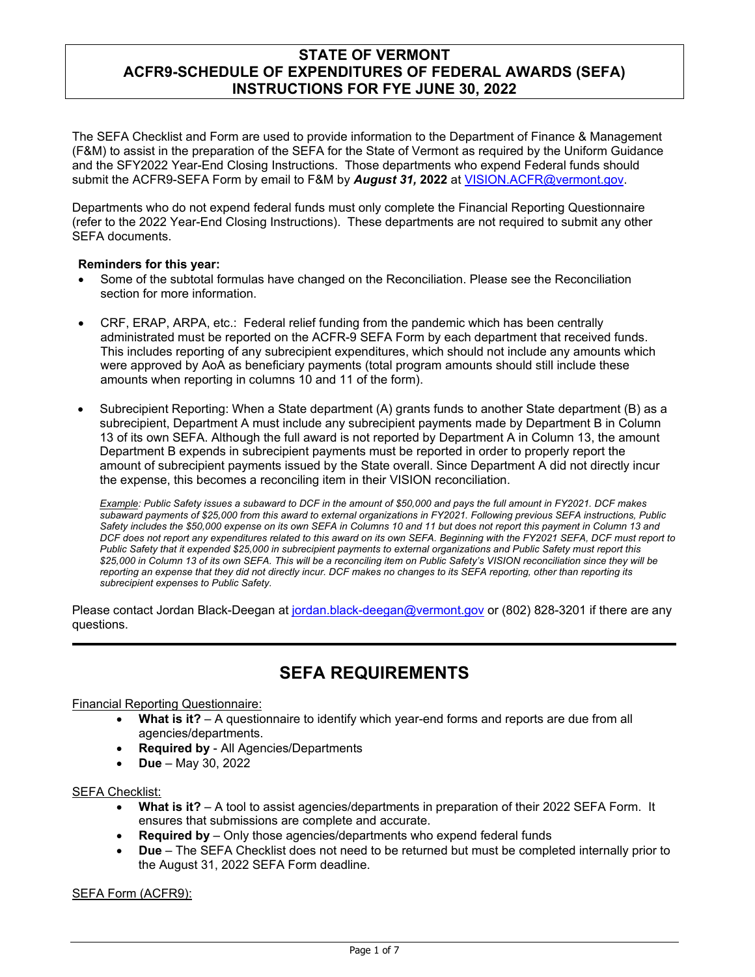The SEFA Checklist and Form are used to provide information to the Department of Finance & Management (F&M) to assist in the preparation of the SEFA for the State of Vermont as required by the Uniform Guidance and the SFY2022 Year-End Closing Instructions. Those departments who expend Federal funds should submit the ACFR9-SEFA Form by email to F&M by *August 31,* **2022** at [VISION.ACFR@vermont.gov.](mailto:VISION.ACFR@vermont.gov)

Departments who do not expend federal funds must only complete the Financial Reporting Questionnaire (refer to the 2022 Year-End Closing Instructions). These departments are not required to submit any other SEFA documents.

### **Reminders for this year:**

- Some of the subtotal formulas have changed on the Reconciliation. Please see the Reconciliation section for more information.
- CRF, ERAP, ARPA, etc.: Federal relief funding from the pandemic which has been centrally administrated must be reported on the ACFR-9 SEFA Form by each department that received funds. This includes reporting of any subrecipient expenditures, which should not include any amounts which were approved by AoA as beneficiary payments (total program amounts should still include these amounts when reporting in columns 10 and 11 of the form).
- Subrecipient Reporting: When a State department (A) grants funds to another State department (B) as a subrecipient, Department A must include any subrecipient payments made by Department B in Column 13 of its own SEFA. Although the full award is not reported by Department A in Column 13, the amount Department B expends in subrecipient payments must be reported in order to properly report the amount of subrecipient payments issued by the State overall. Since Department A did not directly incur the expense, this becomes a reconciling item in their VISION reconciliation.

*Example: Public Safety issues a subaward to DCF in the amount of \$50,000 and pays the full amount in FY2021. DCF makes subaward payments of \$25,000 from this award to external organizations in FY2021. Following previous SEFA instructions, Public Safety includes the \$50,000 expense on its own SEFA in Columns 10 and 11 but does not report this payment in Column 13 and DCF does not report any expenditures related to this award on its own SEFA. Beginning with the FY2021 SEFA, DCF must report to Public Safety that it expended \$25,000 in subrecipient payments to external organizations and Public Safety must report this \$25,000 in Column 13 of its own SEFA. This will be a reconciling item on Public Safety's VISION reconciliation since they will be reporting an expense that they did not directly incur. DCF makes no changes to its SEFA reporting, other than reporting its subrecipient expenses to Public Safety.*

Please contact Jordan Black-Deegan at [jordan.black-deegan@vermont.gov](mailto:jordan.black-deegan@vermont.gov) or (802) 828-3201 if there are any questions.

# **SEFA REQUIREMENTS**

Financial Reporting Questionnaire:

- **What is it?** A questionnaire to identify which year-end forms and reports are due from all agencies/departments.
- **Required by** All Agencies/Departments
- **Due** May 30, 2022

#### SEFA Checklist:

- **What is it?** A tool to assist agencies/departments in preparation of their 2022 SEFA Form. It ensures that submissions are complete and accurate.
- **Required by** Only those agencies/departments who expend federal funds
- **Due** The SEFA Checklist does not need to be returned but must be completed internally prior to the August 31, 2022 SEFA Form deadline.

SEFA Form (ACFR9):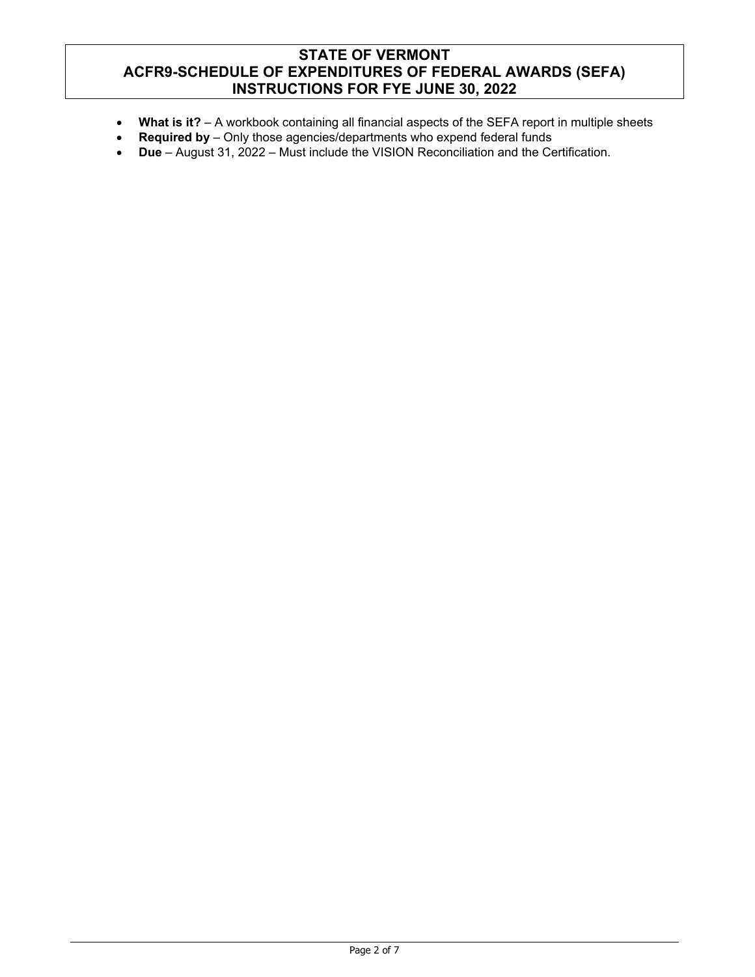- **What is it?** A workbook containing all financial aspects of the SEFA report in multiple sheets
- **Required by** Only those agencies/departments who expend federal funds
- **Due** August 31, 2022 Must include the VISION Reconciliation and the Certification.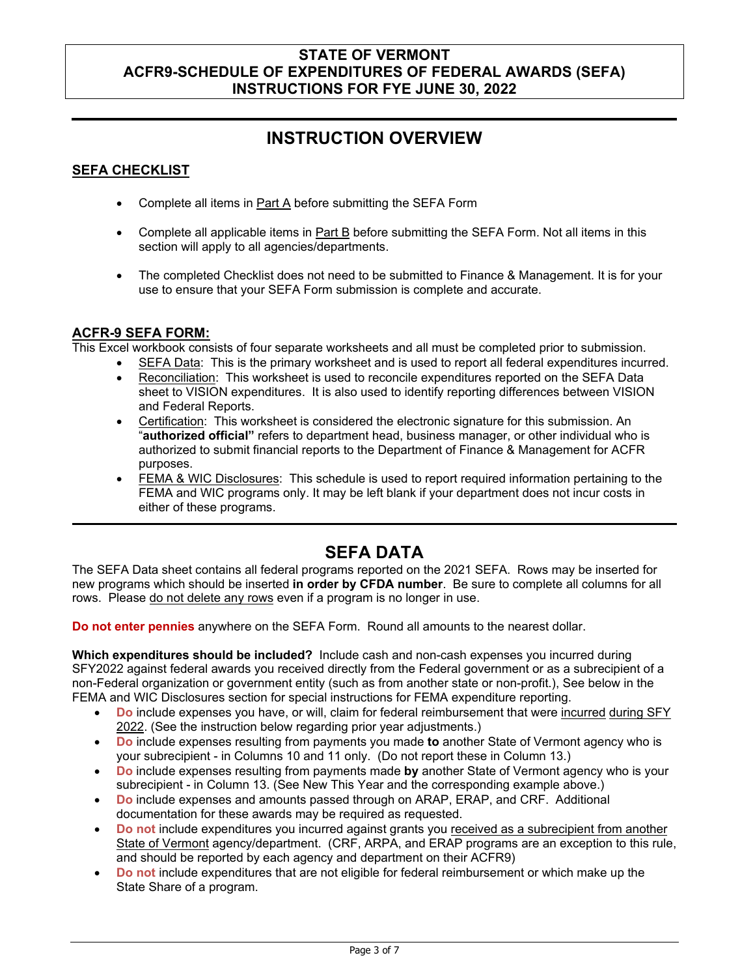# **INSTRUCTION OVERVIEW**

## **SEFA CHECKLIST**

- Complete all items in Part A before submitting the SEFA Form
- Complete all applicable items in Part B before submitting the SEFA Form. Not all items in this section will apply to all agencies/departments.
- The completed Checklist does not need to be submitted to Finance & Management. It is for your use to ensure that your SEFA Form submission is complete and accurate.

### **ACFR-9 SEFA FORM:**

This Excel workbook consists of four separate worksheets and all must be completed prior to submission.

- SEFA Data: This is the primary worksheet and is used to report all federal expenditures incurred.
- Reconciliation: This worksheet is used to reconcile expenditures reported on the SEFA Data sheet to VISION expenditures. It is also used to identify reporting differences between VISION and Federal Reports.
- Certification: This worksheet is considered the electronic signature for this submission. An "**authorized official"** refers to department head, business manager, or other individual who is authorized to submit financial reports to the Department of Finance & Management for ACFR purposes.
- FEMA & WIC Disclosures: This schedule is used to report required information pertaining to the FEMA and WIC programs only. It may be left blank if your department does not incur costs in either of these programs.

# **SEFA DATA**

The SEFA Data sheet contains all federal programs reported on the 2021 SEFA. Rows may be inserted for new programs which should be inserted **in order by CFDA number**. Be sure to complete all columns for all rows. Please do not delete any rows even if a program is no longer in use.

**Do not enter pennies** anywhere on the SEFA Form. Round all amounts to the nearest dollar.

**Which expenditures should be included?** Include cash and non-cash expenses you incurred during SFY2022 against federal awards you received directly from the Federal government or as a subrecipient of a non-Federal organization or government entity (such as from another state or non-profit.), See below in the FEMA and WIC Disclosures section for special instructions for FEMA expenditure reporting.

- **Do** include expenses you have, or will, claim for federal reimbursement that were incurred during SFY 2022. (See the instruction below regarding prior year adjustments.)
- **Do** include expenses resulting from payments you made **to** another State of Vermont agency who is your subrecipient - in Columns 10 and 11 only. (Do not report these in Column 13.)
- **Do** include expenses resulting from payments made **by** another State of Vermont agency who is your subrecipient - in Column 13. (See New This Year and the corresponding example above.)
- **Do** include expenses and amounts passed through on ARAP, ERAP, and CRF. Additional documentation for these awards may be required as requested.
- **Do not** include expenditures you incurred against grants you received as a subrecipient from another State of Vermont agency/department. (CRF, ARPA, and ERAP programs are an exception to this rule, and should be reported by each agency and department on their ACFR9)
- **Do not** include expenditures that are not eligible for federal reimbursement or which make up the State Share of a program.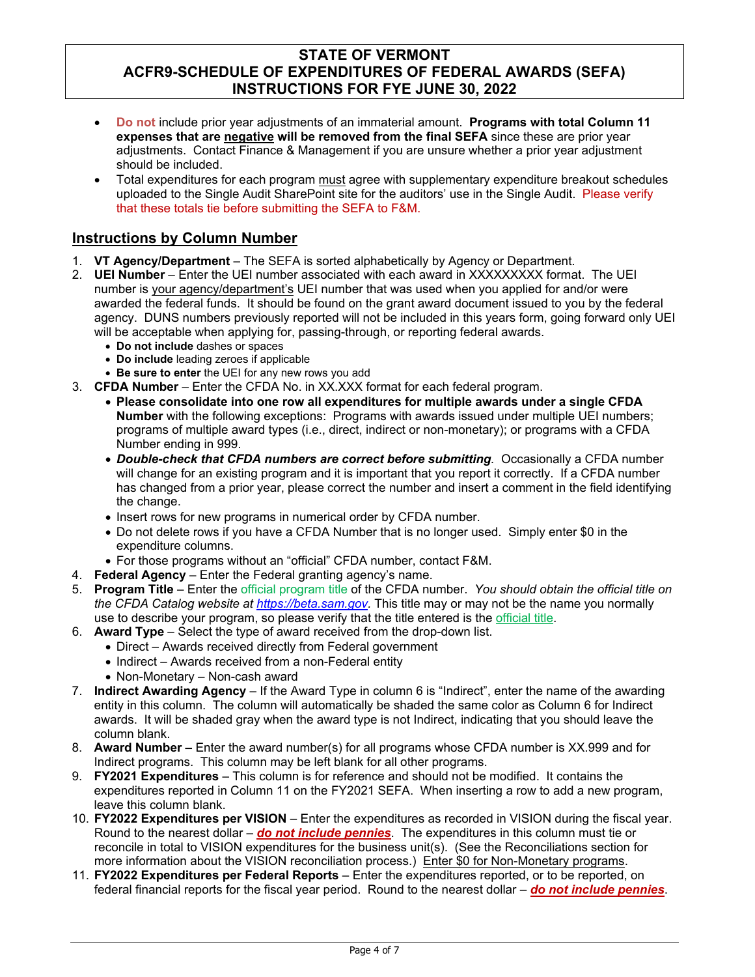- **Do not** include prior year adjustments of an immaterial amount. **Programs with total Column 11 expenses that are negative will be removed from the final SEFA** since these are prior year adjustments. Contact Finance & Management if you are unsure whether a prior year adjustment should be included.
- Total expenditures for each program must agree with supplementary expenditure breakout schedules uploaded to the Single Audit SharePoint site for the auditors' use in the Single Audit. Please verify that these totals tie before submitting the SEFA to F&M.

# **Instructions by Column Number**

- 1. **VT Agency/Department** The SEFA is sorted alphabetically by Agency or Department.
- 2. **UEI Number** Enter the UEI number associated with each award in XXXXXXXXX format. The UEI number is your agency/department's UEI number that was used when you applied for and/or were awarded the federal funds. It should be found on the grant award document issued to you by the federal agency. DUNS numbers previously reported will not be included in this years form, going forward only UEI will be acceptable when applying for, passing-through, or reporting federal awards.
	- **Do not include** dashes or spaces
	- **Do include** leading zeroes if applicable
	- **Be sure to enter** the UEI for any new rows you add
- 3. **CFDA Number**  Enter the CFDA No. in XX.XXX format for each federal program.
	- **Please consolidate into one row all expenditures for multiple awards under a single CFDA Number** with the following exceptions: Programs with awards issued under multiple UEI numbers; programs of multiple award types (i.e., direct, indirect or non-monetary); or programs with a CFDA Number ending in 999.
	- *Double-check that CFDA numbers are correct before submitting.* Occasionally a CFDA number will change for an existing program and it is important that you report it correctly. If a CFDA number has changed from a prior year, please correct the number and insert a comment in the field identifying the change.
	- Insert rows for new programs in numerical order by CFDA number.
	- Do not delete rows if you have a CFDA Number that is no longer used. Simply enter \$0 in the expenditure columns.
	- For those programs without an "official" CFDA number, contact F&M.
- 4. **Federal Agency**  Enter the Federal granting agency's name.
- 5. **Program Title**  Enter the official program title of the CFDA number. *You should obtain the official title on the CFDA Catalog website at [https://beta.sam.gov.](https://beta.sam.gov/)* This title may or may not be the name you normally use to describe your program, so please verify that the title entered is the official title.
- 6. **Award Type**  Select the type of award received from the drop-down list.
	- Direct Awards received directly from Federal government
	- Indirect Awards received from a non-Federal entity
	- Non-Monetary Non-cash award
- 7. **Indirect Awarding Agency** If the Award Type in column 6 is "Indirect", enter the name of the awarding entity in this column. The column will automatically be shaded the same color as Column 6 for Indirect awards. It will be shaded gray when the award type is not Indirect, indicating that you should leave the column blank.
- 8. **Award Number** Enter the award number(s) for all programs whose CFDA number is XX.999 and for Indirect programs. This column may be left blank for all other programs.
- 9. **FY2021 Expenditures** This column is for reference and should not be modified. It contains the expenditures reported in Column 11 on the FY2021 SEFA. When inserting a row to add a new program, leave this column blank.
- 10. **FY2022 Expenditures per VISION** Enter the expenditures as recorded in VISION during the fiscal year. Round to the nearest dollar – *do not include pennies*. The expenditures in this column must tie or reconcile in total to VISION expenditures for the business unit(s). (See the Reconciliations section for more information about the VISION reconciliation process.) Enter \$0 for Non-Monetary programs.
- 11. **FY2022 Expenditures per Federal Reports**  Enter the expenditures reported, or to be reported, on federal financial reports for the fiscal year period. Round to the nearest dollar – *do not include pennies*.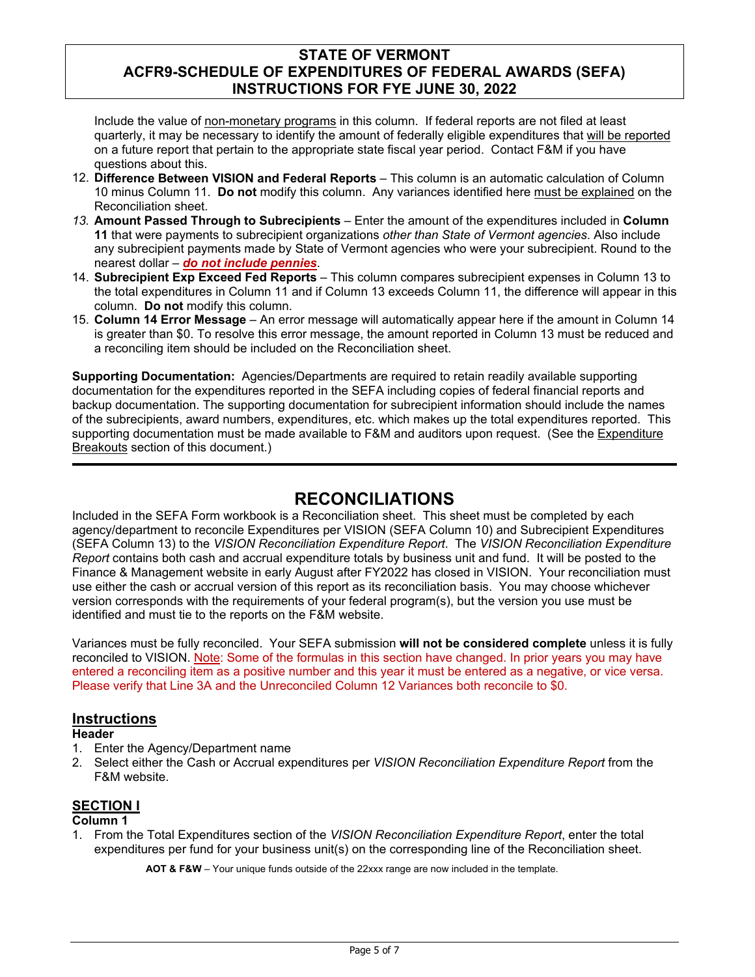Include the value of non-monetary programs in this column. If federal reports are not filed at least quarterly, it may be necessary to identify the amount of federally eligible expenditures that will be reported on a future report that pertain to the appropriate state fiscal year period. Contact F&M if you have questions about this.

- 12. **Difference Between VISION and Federal Reports** This column is an automatic calculation of Column 10 minus Column 11. **Do not** modify this column. Any variances identified here must be explained on the Reconciliation sheet.
- *13.* **Amount Passed Through to Subrecipients** Enter the amount of the expenditures included in **Column 11** that were payments to subrecipient organizations *other than State of Vermont agencies*. Also include any subrecipient payments made by State of Vermont agencies who were your subrecipient. Round to the nearest dollar – *do not include pennies*.
- 14. **Subrecipient Exp Exceed Fed Reports** This column compares subrecipient expenses in Column 13 to the total expenditures in Column 11 and if Column 13 exceeds Column 11, the difference will appear in this column. **Do not** modify this column.
- 15. **Column 14 Error Message** An error message will automatically appear here if the amount in Column 14 is greater than \$0. To resolve this error message, the amount reported in Column 13 must be reduced and a reconciling item should be included on the Reconciliation sheet.

**Supporting Documentation:** Agencies/Departments are required to retain readily available supporting documentation for the expenditures reported in the SEFA including copies of federal financial reports and backup documentation. The supporting documentation for subrecipient information should include the names of the subrecipients, award numbers, expenditures, etc. which makes up the total expenditures reported. This supporting documentation must be made available to F&M and auditors upon request. (See the Expenditure Breakouts section of this document.)

# **RECONCILIATIONS**

Included in the SEFA Form workbook is a Reconciliation sheet. This sheet must be completed by each agency/department to reconcile Expenditures per VISION (SEFA Column 10) and Subrecipient Expenditures (SEFA Column 13) to the *VISION Reconciliation Expenditure Report*. The *VISION Reconciliation Expenditure Report* contains both cash and accrual expenditure totals by business unit and fund. It will be posted to the Finance & Management website in early August after FY2022 has closed in VISION. Your reconciliation must use either the cash or accrual version of this report as its reconciliation basis. You may choose whichever version corresponds with the requirements of your federal program(s), but the version you use must be identified and must tie to the reports on the F&M website.

Variances must be fully reconciled. Your SEFA submission **will not be considered complete** unless it is fully reconciled to VISION. Note: Some of the formulas in this section have changed. In prior years you may have entered a reconciling item as a positive number and this year it must be entered as a negative, or vice versa. Please verify that Line 3A and the Unreconciled Column 12 Variances both reconcile to \$0.

### **Instructions**

### **Header**

- 1. Enter the Agency/Department name
- 2. Select either the Cash or Accrual expenditures per *VISION Reconciliation Expenditure Report* from the F&M website.

### **SECTION I**

### **Column 1**

1. From the Total Expenditures section of the *VISION Reconciliation Expenditure Report*, enter the total expenditures per fund for your business unit(s) on the corresponding line of the Reconciliation sheet.

**AOT & F&W** – Your unique funds outside of the 22xxx range are now included in the template.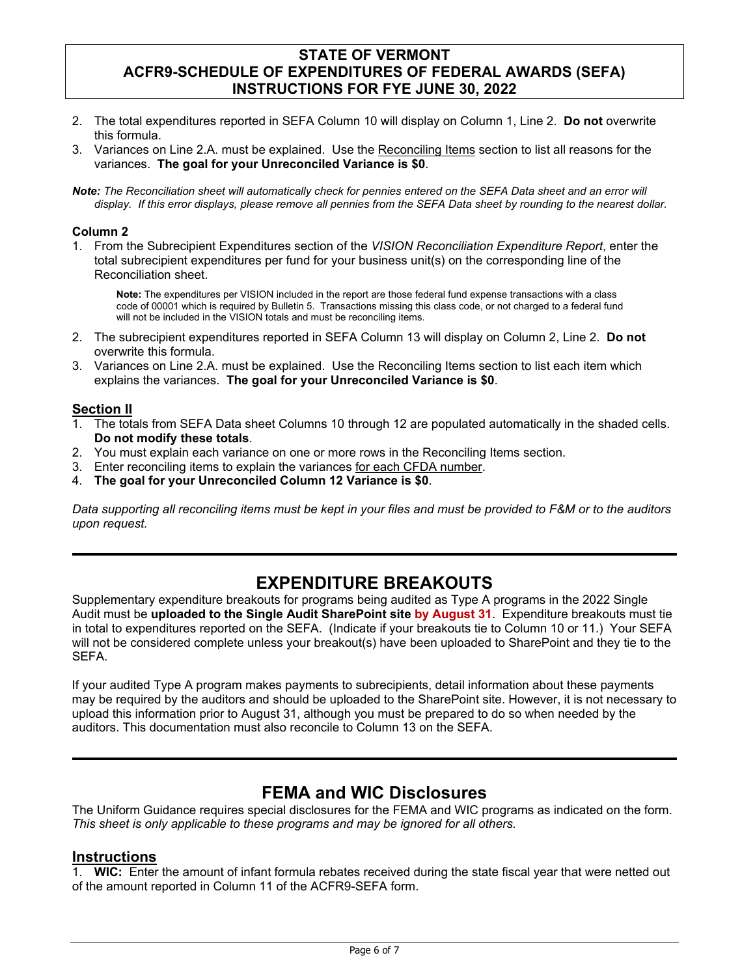- 2. The total expenditures reported in SEFA Column 10 will display on Column 1, Line 2. **Do not** overwrite this formula.
- 3. Variances on Line 2.A. must be explained. Use the Reconciling Items section to list all reasons for the variances. **The goal for your Unreconciled Variance is \$0**.
- *Note: The Reconciliation sheet will automatically check for pennies entered on the SEFA Data sheet and an error will display. If this error displays, please remove all pennies from the SEFA Data sheet by rounding to the nearest dollar.*

### **Column 2**

1. From the Subrecipient Expenditures section of the *VISION Reconciliation Expenditure Report*, enter the total subrecipient expenditures per fund for your business unit(s) on the corresponding line of the Reconciliation sheet.

**Note:** The expenditures per VISION included in the report are those federal fund expense transactions with a class code of 00001 which is required by Bulletin 5. Transactions missing this class code, or not charged to a federal fund will not be included in the VISION totals and must be reconciling items.

- 2. The subrecipient expenditures reported in SEFA Column 13 will display on Column 2, Line 2. **Do not**  overwrite this formula.
- 3. Variances on Line 2.A. must be explained. Use the Reconciling Items section to list each item which explains the variances. **The goal for your Unreconciled Variance is \$0**.

### **Section II**

- 1. The totals from SEFA Data sheet Columns 10 through 12 are populated automatically in the shaded cells. **Do not modify these totals**.
- 2. You must explain each variance on one or more rows in the Reconciling Items section.
- 3. Enter reconciling items to explain the variances for each CFDA number.
- 4. **The goal for your Unreconciled Column 12 Variance is \$0**.

*Data supporting all reconciling items must be kept in your files and must be provided to F&M or to the auditors upon request.* 

# **EXPENDITURE BREAKOUTS**

Supplementary expenditure breakouts for programs being audited as Type A programs in the 2022 Single Audit must be **uploaded to the Single Audit SharePoint site by August 31**. Expenditure breakouts must tie in total to expenditures reported on the SEFA. (Indicate if your breakouts tie to Column 10 or 11.) Your SEFA will not be considered complete unless your breakout(s) have been uploaded to SharePoint and they tie to the SEFA.

If your audited Type A program makes payments to subrecipients, detail information about these payments may be required by the auditors and should be uploaded to the SharePoint site. However, it is not necessary to upload this information prior to August 31, although you must be prepared to do so when needed by the auditors. This documentation must also reconcile to Column 13 on the SEFA.

# **FEMA and WIC Disclosures**

The Uniform Guidance requires special disclosures for the FEMA and WIC programs as indicated on the form. *This sheet is only applicable to these programs and may be ignored for all others.*

### **Instructions**

1. **WIC:** Enter the amount of infant formula rebates received during the state fiscal year that were netted out of the amount reported in Column 11 of the ACFR9-SEFA form.